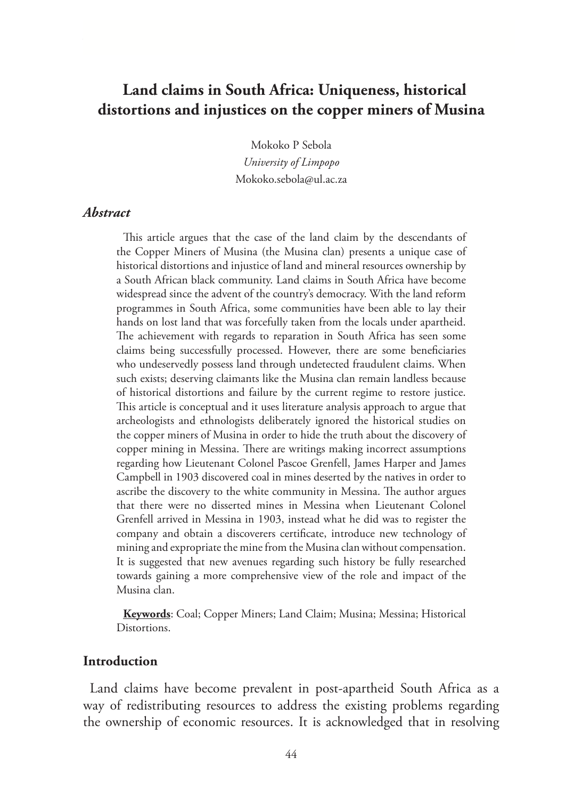# **Land claims in South Africa: Uniqueness, historical distortions and injustices on the copper miners of Musina**

Mokoko P Sebola

*University of Limpopo* Mokoko.sebola@ul.ac.za

#### *Abstract*

This article argues that the case of the land claim by the descendants of the Copper Miners of Musina (the Musina clan) presents a unique case of historical distortions and injustice of land and mineral resources ownership by a South African black community. Land claims in South Africa have become widespread since the advent of the country's democracy. With the land reform programmes in South Africa, some communities have been able to lay their hands on lost land that was forcefully taken from the locals under apartheid. The achievement with regards to reparation in South Africa has seen some claims being successfully processed. However, there are some beneficiaries who undeservedly possess land through undetected fraudulent claims. When such exists; deserving claimants like the Musina clan remain landless because of historical distortions and failure by the current regime to restore justice. This article is conceptual and it uses literature analysis approach to argue that archeologists and ethnologists deliberately ignored the historical studies on the copper miners of Musina in order to hide the truth about the discovery of copper mining in Messina. There are writings making incorrect assumptions regarding how Lieutenant Colonel Pascoe Grenfell, James Harper and James Campbell in 1903 discovered coal in mines deserted by the natives in order to ascribe the discovery to the white community in Messina. The author argues that there were no disserted mines in Messina when Lieutenant Colonel Grenfell arrived in Messina in 1903, instead what he did was to register the company and obtain a discoverers certificate, introduce new technology of mining and expropriate the mine from the Musina clan without compensation. It is suggested that new avenues regarding such history be fully researched towards gaining a more comprehensive view of the role and impact of the Musina clan.

**Keywords**: Coal; Copper Miners; Land Claim; Musina; Messina; Historical Distortions.

### **Introduction**

Land claims have become prevalent in post-apartheid South Africa as a way of redistributing resources to address the existing problems regarding the ownership of economic resources. It is acknowledged that in resolving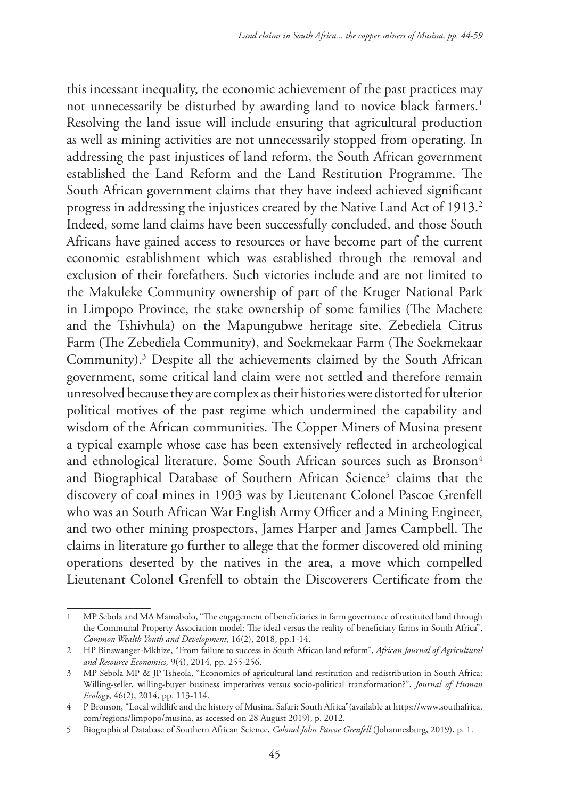this incessant inequality, the economic achievement of the past practices may not unnecessarily be disturbed by awarding land to novice black farmers.<sup>1</sup> Resolving the land issue will include ensuring that agricultural production as well as mining activities are not unnecessarily stopped from operating. In addressing the past injustices of land reform, the South African government established the Land Reform and the Land Restitution Programme. The South African government claims that they have indeed achieved significant progress in addressing the injustices created by the Native Land Act of 1913.<sup>2</sup> Indeed, some land claims have been successfully concluded, and those South Africans have gained access to resources or have become part of the current economic establishment which was established through the removal and exclusion of their forefathers. Such victories include and are not limited to the Makuleke Community ownership of part of the Kruger National Park in Limpopo Province, the stake ownership of some families (The Machete and the Tshivhula) on the Mapungubwe heritage site, Zebediela Citrus Farm (The Zebediela Community), and Soekmekaar Farm (The Soekmekaar Community).3 Despite all the achievements claimed by the South African government, some critical land claim were not settled and therefore remain unresolved because they are complex as their histories were distorted for ulterior political motives of the past regime which undermined the capability and wisdom of the African communities. The Copper Miners of Musina present a typical example whose case has been extensively reflected in archeological and ethnological literature. Some South African sources such as Bronson<sup>4</sup> and Biographical Database of Southern African Science<sup>5</sup> claims that the discovery of coal mines in 1903 was by Lieutenant Colonel Pascoe Grenfell who was an South African War English Army Officer and a Mining Engineer, and two other mining prospectors, James Harper and James Campbell. The claims in literature go further to allege that the former discovered old mining operations deserted by the natives in the area, a move which compelled Lieutenant Colonel Grenfell to obtain the Discoverers Certificate from the

<sup>1</sup> MP Sebola and MA Mamabolo, "The engagement of beneficiaries in farm governance of restituted land through the Communal Property Association model: The ideal versus the reality of beneficiary farms in South Africa", *Common Wealth Youth and Development*, 16(2), 2018, pp.1-14.

<sup>2</sup> HP Binswanger-Mkhize, "From failure to success in South African land reform", *African Journal of Agricultural and Resource Economics,* 9(4), 2014, pp. 255-256.

<sup>3</sup> MP Sebola MP & JP Tsheola, "Economics of agricultural land restitution and redistribution in South Africa: Willing-seller, willing-buyer business imperatives versus socio-political transformation?", *Journal of Human Ecology*, 46(2), 2014, pp. 113-114.

<sup>4</sup> P Bronson, "Local wildlife and the history of Musina. Safari: South Africa"(available at https://www.southafrica. com/regions/limpopo/musina, as accessed on 28 August 2019), p. 2012.

<sup>5</sup> Biographical Database of Southern African Science, *Colonel John Pascoe Grenfell* (Johannesburg, 2019), p. 1.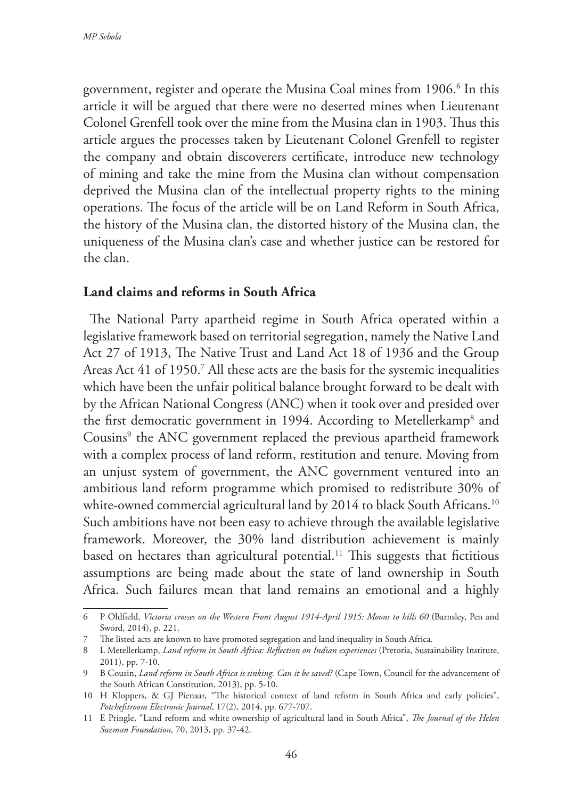government, register and operate the Musina Coal mines from 1906.<sup>6</sup> In this article it will be argued that there were no deserted mines when Lieutenant Colonel Grenfell took over the mine from the Musina clan in 1903. Thus this article argues the processes taken by Lieutenant Colonel Grenfell to register the company and obtain discoverers certificate, introduce new technology of mining and take the mine from the Musina clan without compensation deprived the Musina clan of the intellectual property rights to the mining operations. The focus of the article will be on Land Reform in South Africa, the history of the Musina clan, the distorted history of the Musina clan, the uniqueness of the Musina clan's case and whether justice can be restored for the clan.

## **Land claims and reforms in South Africa**

The National Party apartheid regime in South Africa operated within a legislative framework based on territorial segregation, namely the Native Land Act 27 of 1913, The Native Trust and Land Act 18 of 1936 and the Group Areas Act 41 of 1950.<sup>7</sup> All these acts are the basis for the systemic inequalities which have been the unfair political balance brought forward to be dealt with by the African National Congress (ANC) when it took over and presided over the first democratic government in 1994. According to Metellerkamp8 and Cousins<sup>9</sup> the ANC government replaced the previous apartheid framework with a complex process of land reform, restitution and tenure. Moving from an unjust system of government, the ANC government ventured into an ambitious land reform programme which promised to redistribute 30% of white-owned commercial agricultural land by 2014 to black South Africans.<sup>10</sup> Such ambitions have not been easy to achieve through the available legislative framework. Moreover, the 30% land distribution achievement is mainly based on hectares than agricultural potential.<sup>11</sup> This suggests that fictitious assumptions are being made about the state of land ownership in South Africa. Such failures mean that land remains an emotional and a highly

<sup>6</sup> P Oldfield, *Victoria crosses on the Western Front August 1914-April 1915: Moons to hills 60* (Barnsley, Pen and Sword, 2014), p. 221.

<sup>7</sup> The listed acts are known to have promoted segregation and land inequality in South Africa.

<sup>8</sup> L Metellerkamp, *Land reform in South Africa: Reflection on Indian experiences* (Pretoria, Sustainability Institute, 2011), pp. 7-10.

<sup>9</sup> B Cousin, *Land reform in South Africa is sinking. Can it be saved?* (Cape Town, Council for the advancement of the South African Constitution, 2013), pp. 5-10.

<sup>10</sup> H Kloppers, & GJ Pienaar, "The historical context of land reform in South Africa and early policies", *Potchefstroom Electronic Journal*, 17(2), 2014, pp. 677-707.

<sup>11</sup> E Pringle, "Land reform and white ownership of agricultural land in South Africa", *The Journal of the Helen Suzman Foundation,* 70, 2013, pp. 37-42.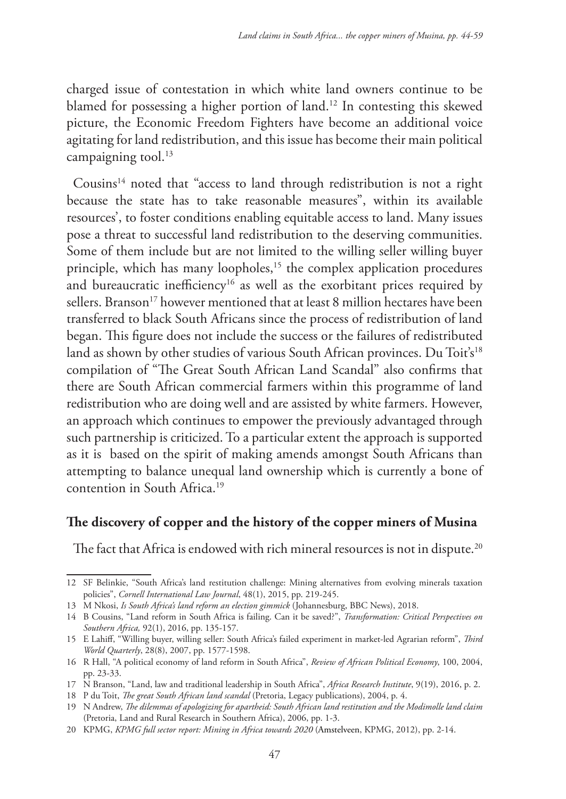charged issue of contestation in which white land owners continue to be blamed for possessing a higher portion of land.12 In contesting this skewed picture, the Economic Freedom Fighters have become an additional voice agitating for land redistribution, and this issue has become their main political campaigning tool.<sup>13</sup>

Cousins<sup>14</sup> noted that "access to land through redistribution is not a right because the state has to take reasonable measures", within its available resources', to foster conditions enabling equitable access to land. Many issues pose a threat to successful land redistribution to the deserving communities. Some of them include but are not limited to the willing seller willing buyer principle, which has many loopholes,<sup>15</sup> the complex application procedures and bureaucratic inefficiency<sup>16</sup> as well as the exorbitant prices required by sellers. Branson<sup>17</sup> however mentioned that at least 8 million hectares have been transferred to black South Africans since the process of redistribution of land began. This figure does not include the success or the failures of redistributed land as shown by other studies of various South African provinces. Du Toit's<sup>18</sup> compilation of "The Great South African Land Scandal" also confirms that there are South African commercial farmers within this programme of land redistribution who are doing well and are assisted by white farmers. However, an approach which continues to empower the previously advantaged through such partnership is criticized. To a particular extent the approach is supported as it is based on the spirit of making amends amongst South Africans than attempting to balance unequal land ownership which is currently a bone of contention in South Africa.19

## **The discovery of copper and the history of the copper miners of Musina**

The fact that Africa is endowed with rich mineral resources is not in dispute.<sup>20</sup>

<sup>12</sup> SF Belinkie, "South Africa's land restitution challenge: Mining alternatives from evolving minerals taxation policies", *Cornell International Law Journal*, 48(1), 2015, pp. 219-245.

<sup>13</sup> M Nkosi, *Is South Africa's land reform an election gimmick* (Johannesburg, BBC News), 2018.

<sup>14</sup> B Cousins, "Land reform in South Africa is failing. Can it be saved?", *Transformation: Critical Perspectives on Southern Africa,* 92(1), 2016, pp. 135-157.

<sup>15</sup> E Lahiff, "Willing buyer, willing seller: South Africa's failed experiment in market-led Agrarian reform", *Third World Quarterly*, 28(8), 2007, pp. 1577-1598.

<sup>16</sup> R Hall, "A political economy of land reform in South Africa", *Review of African Political Economy*, 100, 2004, pp. 23-33.

<sup>17</sup> N Branson, "Land, law and traditional leadership in South Africa", *Africa Research Institute*, 9(19), 2016, p. 2.

<sup>18</sup> P du Toit, *The great South African land scandal* (Pretoria, Legacy publications), 2004, p. 4.

<sup>19</sup> N Andrew, *The dilemmas of apologizing for apartheid: South African land restitution and the Modimolle land claim* (Pretoria, Land and Rural Research in Southern Africa), 2006, pp. 1-3.

<sup>20</sup> KPMG, *KPMG full sector report: Mining in Africa towards 2020* (Amstelveen, KPMG, 2012), pp. 2-14.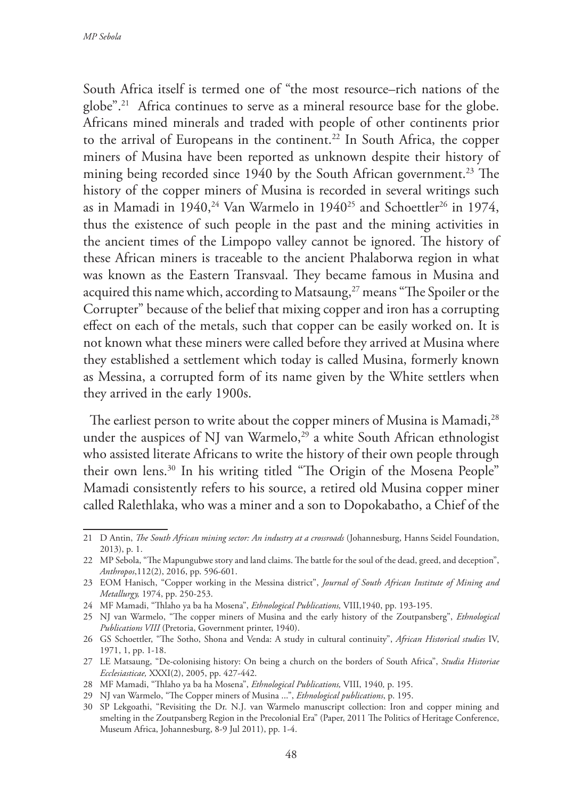South Africa itself is termed one of "the most resource–rich nations of the globe".21 Africa continues to serve as a mineral resource base for the globe. Africans mined minerals and traded with people of other continents prior to the arrival of Europeans in the continent.<sup>22</sup> In South Africa, the copper miners of Musina have been reported as unknown despite their history of mining being recorded since 1940 by the South African government.<sup>23</sup> The history of the copper miners of Musina is recorded in several writings such as in Mamadi in  $1940$ ,<sup>24</sup> Van Warmelo in  $1940^{25}$  and Schoettler<sup>26</sup> in 1974, thus the existence of such people in the past and the mining activities in the ancient times of the Limpopo valley cannot be ignored. The history of these African miners is traceable to the ancient Phalaborwa region in what was known as the Eastern Transvaal. They became famous in Musina and acquired this name which, according to Matsaung,<sup>27</sup> means "The Spoiler or the Corrupter" because of the belief that mixing copper and iron has a corrupting effect on each of the metals, such that copper can be easily worked on. It is not known what these miners were called before they arrived at Musina where they established a settlement which today is called Musina, formerly known as Messina, a corrupted form of its name given by the White settlers when they arrived in the early 1900s.

The earliest person to write about the copper miners of Musina is Mamadi,<sup>28</sup> under the auspices of NJ van Warmelo,<sup>29</sup> a white South African ethnologist who assisted literate Africans to write the history of their own people through their own lens.<sup>30</sup> In his writing titled "The Origin of the Mosena People" Mamadi consistently refers to his source, a retired old Musina copper miner called Ralethlaka, who was a miner and a son to Dopokabatho, a Chief of the

<sup>21</sup> D Antin, *The South African mining sector: An industry at a crossroads* (Johannesburg, Hanns Seidel Foundation, 2013), p. 1.

<sup>22</sup> MP Sebola, "The Mapungubwe story and land claims. The battle for the soul of the dead, greed, and deception", *Anthropos*,112(2), 2016, pp. 596-601.

<sup>23</sup> EOM Hanisch, "Copper working in the Messina district", *Journal of South African Institute of Mining and Metallurgy,* 1974, pp. 250-253.

<sup>24</sup> MF Mamadi, "Thlaho ya ba ha Mosena", *Ethnological Publications,* VIII,1940, pp. 193-195.

<sup>25</sup> NJ van Warmelo, "The copper miners of Musina and the early history of the Zoutpansberg", *Ethnological Publications VIII* (Pretoria, Government printer, 1940).

<sup>26</sup> GS Schoettler, "The Sotho, Shona and Venda: A study in cultural continuity", *African Historical studies* IV, 1971, 1, pp. 1-18.

<sup>27</sup> LE Matsaung, "De-colonising history: On being a church on the borders of South Africa", *Studia Historiae Ecclesiasticae,* XXXI(2), 2005, pp. 427-442.

<sup>28</sup> MF Mamadi, "Thlaho ya ba ha Mosena", *Ethnological Publications,* VIII, 1940*,* p. 195.

<sup>29</sup> NJ van Warmelo, "The Copper miners of Musina ...", *Ethnological publications*, p. 195.

<sup>30</sup> SP Lekgoathi, "Revisiting the Dr. N.J. van Warmelo manuscript collection: Iron and copper mining and smelting in the Zoutpansberg Region in the Precolonial Era" (Paper, 2011 The Politics of Heritage Conference, Museum Africa, Johannesburg, 8-9 Jul 2011), pp. 1-4.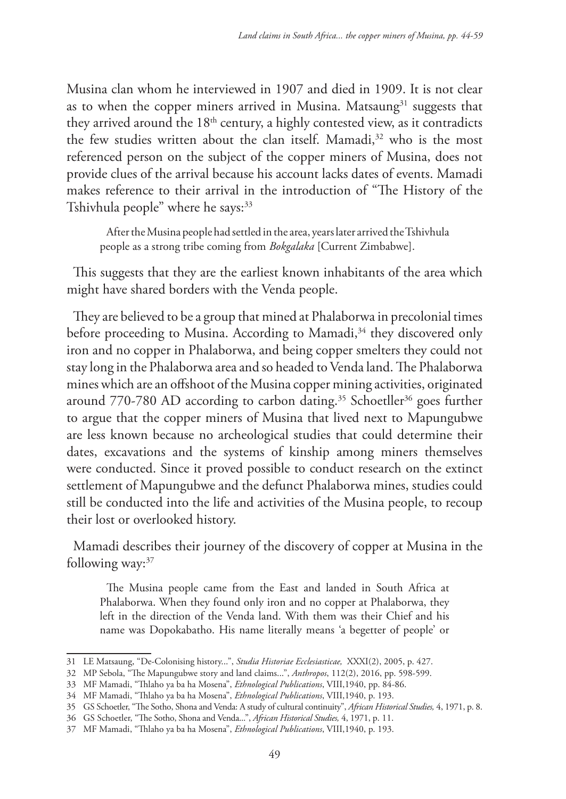Musina clan whom he interviewed in 1907 and died in 1909. It is not clear as to when the copper miners arrived in Musina. Matsaung $31$  suggests that they arrived around the  $18<sup>th</sup>$  century, a highly contested view, as it contradicts the few studies written about the clan itself. Mamadi,<sup>32</sup> who is the most referenced person on the subject of the copper miners of Musina, does not provide clues of the arrival because his account lacks dates of events. Mamadi makes reference to their arrival in the introduction of "The History of the Tshivhula people" where he says:<sup>33</sup>

After the Musina people had settled in the area, years later arrived the Tshivhula people as a strong tribe coming from *Bokgalaka* [Current Zimbabwe].

This suggests that they are the earliest known inhabitants of the area which might have shared borders with the Venda people.

They are believed to be a group that mined at Phalaborwa in precolonial times before proceeding to Musina. According to Mamadi,<sup>34</sup> they discovered only iron and no copper in Phalaborwa, and being copper smelters they could not stay long in the Phalaborwa area and so headed to Venda land. The Phalaborwa mines which are an offshoot of the Musina copper mining activities, originated around 770-780 AD according to carbon dating.<sup>35</sup> Schoetller<sup>36</sup> goes further to argue that the copper miners of Musina that lived next to Mapungubwe are less known because no archeological studies that could determine their dates, excavations and the systems of kinship among miners themselves were conducted. Since it proved possible to conduct research on the extinct settlement of Mapungubwe and the defunct Phalaborwa mines, studies could still be conducted into the life and activities of the Musina people, to recoup their lost or overlooked history.

Mamadi describes their journey of the discovery of copper at Musina in the following way: $37$ 

The Musina people came from the East and landed in South Africa at Phalaborwa. When they found only iron and no copper at Phalaborwa, they left in the direction of the Venda land. With them was their Chief and his name was Dopokabatho. His name literally means 'a begetter of people' or

<sup>31</sup> LE Matsaung, "De-Colonising history...", *Studia Historiae Ecclesiasticae,* XXXI(2), 2005, p. 427.

<sup>32</sup> MP Sebola, "The Mapungubwe story and land claims...", *Anthropos*, 112(2), 2016, pp. 598-599.

<sup>33</sup> MF Mamadi, "Thlaho ya ba ha Mosena", *Ethnological Publications*, VIII,1940, pp. 84-86.

<sup>34</sup> MF Mamadi, "Thlaho ya ba ha Mosena", *Ethnological Publications*, VIII,1940, p. 193.

<sup>35</sup> GS Schoetler, "The Sotho, Shona and Venda: A study of cultural continuity", *African Historical Studies,* 4, 1971, p. 8.

<sup>36</sup> GS Schoetler, "The Sotho, Shona and Venda...", *African Historical Studies,* 4, 1971, p. 11.

<sup>37</sup> MF Mamadi, "Thlaho ya ba ha Mosena", *Ethnological Publications*, VIII,1940, p. 193.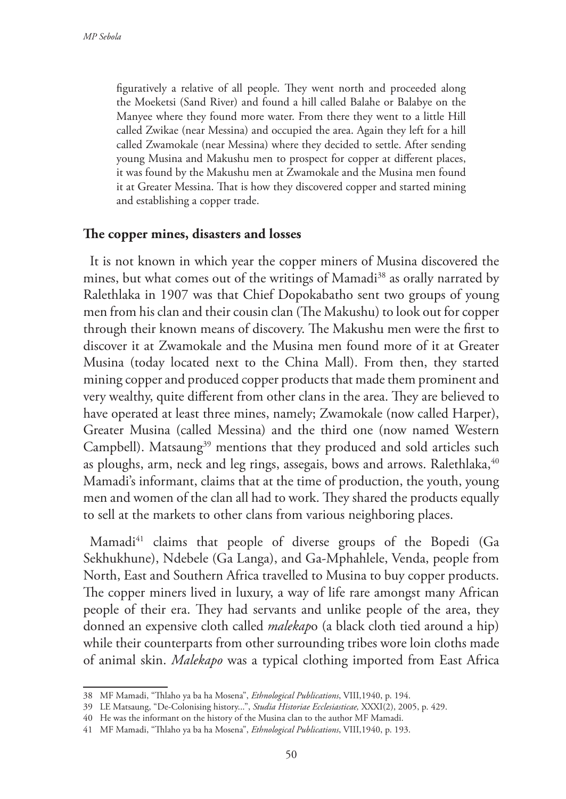figuratively a relative of all people. They went north and proceeded along the Moeketsi (Sand River) and found a hill called Balahe or Balabye on the Manyee where they found more water. From there they went to a little Hill called Zwikae (near Messina) and occupied the area. Again they left for a hill called Zwamokale (near Messina) where they decided to settle. After sending young Musina and Makushu men to prospect for copper at different places, it was found by the Makushu men at Zwamokale and the Musina men found it at Greater Messina. That is how they discovered copper and started mining and establishing a copper trade.

#### **The copper mines, disasters and losses**

It is not known in which year the copper miners of Musina discovered the mines, but what comes out of the writings of Mamadi<sup>38</sup> as orally narrated by Ralethlaka in 1907 was that Chief Dopokabatho sent two groups of young men from his clan and their cousin clan (The Makushu) to look out for copper through their known means of discovery. The Makushu men were the first to discover it at Zwamokale and the Musina men found more of it at Greater Musina (today located next to the China Mall). From then, they started mining copper and produced copper products that made them prominent and very wealthy, quite different from other clans in the area. They are believed to have operated at least three mines, namely; Zwamokale (now called Harper), Greater Musina (called Messina) and the third one (now named Western Campbell). Matsaung<sup>39</sup> mentions that they produced and sold articles such as ploughs, arm, neck and leg rings, assegais, bows and arrows. Ralethlaka,  $40$ Mamadi's informant, claims that at the time of production, the youth, young men and women of the clan all had to work. They shared the products equally to sell at the markets to other clans from various neighboring places.

Mamadi<sup>41</sup> claims that people of diverse groups of the Bopedi (Ga Sekhukhune), Ndebele (Ga Langa), and Ga-Mphahlele, Venda, people from North, East and Southern Africa travelled to Musina to buy copper products. The copper miners lived in luxury, a way of life rare amongst many African people of their era. They had servants and unlike people of the area, they donned an expensive cloth called *malekap*o (a black cloth tied around a hip) while their counterparts from other surrounding tribes wore loin cloths made of animal skin. *Malekapo* was a typical clothing imported from East Africa

<sup>38</sup> MF Mamadi, "Thlaho ya ba ha Mosena", *Ethnological Publications*, VIII,1940, p. 194.

<sup>39</sup> LE Matsaung, "De-Colonising history...", *Studia Historiae Ecclesiasticae,* XXXI(2), 2005, p. 429.

<sup>40</sup> He was the informant on the history of the Musina clan to the author MF Mamadi.

<sup>41</sup> MF Mamadi, "Thlaho ya ba ha Mosena", *Ethnological Publications*, VIII,1940, p. 193.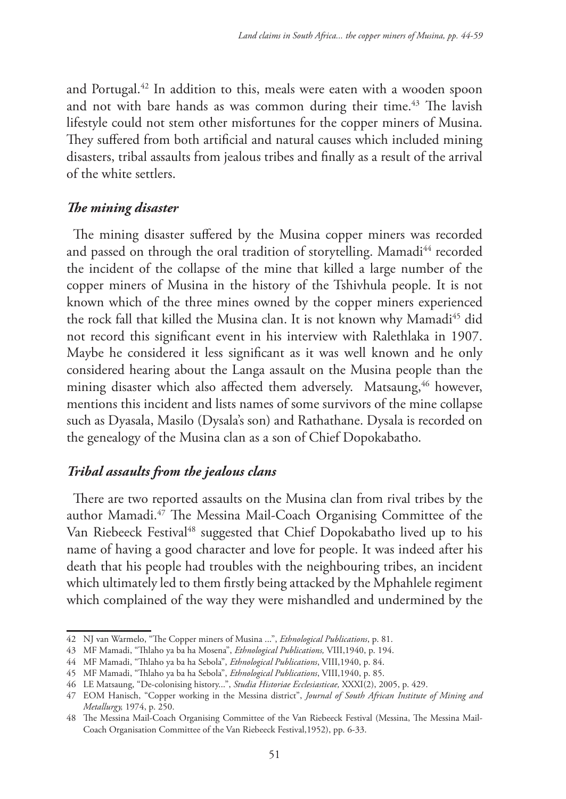and Portugal.42 In addition to this, meals were eaten with a wooden spoon and not with bare hands as was common during their time.<sup>43</sup> The lavish lifestyle could not stem other misfortunes for the copper miners of Musina. They suffered from both artificial and natural causes which included mining disasters, tribal assaults from jealous tribes and finally as a result of the arrival of the white settlers.

### *The mining disaster*

The mining disaster suffered by the Musina copper miners was recorded and passed on through the oral tradition of storytelling. Mamadi<sup>44</sup> recorded the incident of the collapse of the mine that killed a large number of the copper miners of Musina in the history of the Tshivhula people. It is not known which of the three mines owned by the copper miners experienced the rock fall that killed the Musina clan. It is not known why Mamadi<sup>45</sup> did not record this significant event in his interview with Ralethlaka in 1907. Maybe he considered it less significant as it was well known and he only considered hearing about the Langa assault on the Musina people than the mining disaster which also affected them adversely. Matsaung,<sup>46</sup> however, mentions this incident and lists names of some survivors of the mine collapse such as Dyasala, Masilo (Dysala's son) and Rathathane. Dysala is recorded on the genealogy of the Musina clan as a son of Chief Dopokabatho.

## *Tribal assaults from the jealous clans*

There are two reported assaults on the Musina clan from rival tribes by the author Mamadi.47 The Messina Mail-Coach Organising Committee of the Van Riebeeck Festival<sup>48</sup> suggested that Chief Dopokabatho lived up to his name of having a good character and love for people. It was indeed after his death that his people had troubles with the neighbouring tribes, an incident which ultimately led to them firstly being attacked by the Mphahlele regiment which complained of the way they were mishandled and undermined by the

<sup>42</sup> NJ van Warmelo, "The Copper miners of Musina ...", *Ethnological Publications*, p. 81.

<sup>43</sup> MF Mamadi, "Thlaho ya ba ha Mosena", *Ethnological Publications,* VIII,1940, p. 194.

<sup>44</sup> MF Mamadi, "Thlaho ya ba ha Sebola", *Ethnological Publications*, VIII,1940, p. 84.

<sup>45</sup> MF Mamadi, "Thlaho ya ba ha Sebola", *Ethnological Publications*, VIII,1940, p. 85.

<sup>46</sup> LE Matsaung, "De-colonising history...", *Studia Historiae Ecclesiasticae,* XXXI(2), 2005, p. 429.

<sup>47</sup> EOM Hanisch, "Copper working in the Messina district", *Journal of South African Institute of Mining and Metallurgy,* 1974, p. 250.

<sup>48</sup> The Messina Mail-Coach Organising Committee of the Van Riebeeck Festival (Messina, The Messina Mail-Coach Organisation Committee of the Van Riebeeck Festival,1952), pp. 6-33.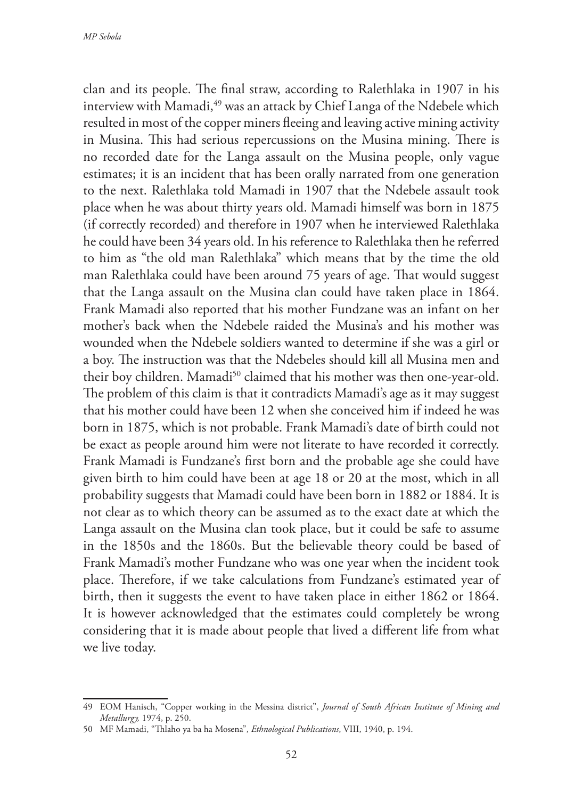clan and its people. The final straw, according to Ralethlaka in 1907 in his interview with Mamadi,<sup>49</sup> was an attack by Chief Langa of the Ndebele which resulted in most of the copper miners fleeing and leaving active mining activity in Musina. This had serious repercussions on the Musina mining. There is no recorded date for the Langa assault on the Musina people, only vague estimates; it is an incident that has been orally narrated from one generation to the next. Ralethlaka told Mamadi in 1907 that the Ndebele assault took place when he was about thirty years old. Mamadi himself was born in 1875 (if correctly recorded) and therefore in 1907 when he interviewed Ralethlaka he could have been 34 years old. In his reference to Ralethlaka then he referred to him as "the old man Ralethlaka" which means that by the time the old man Ralethlaka could have been around 75 years of age. That would suggest that the Langa assault on the Musina clan could have taken place in 1864. Frank Mamadi also reported that his mother Fundzane was an infant on her mother's back when the Ndebele raided the Musina's and his mother was wounded when the Ndebele soldiers wanted to determine if she was a girl or a boy. The instruction was that the Ndebeles should kill all Musina men and their boy children. Mamadi<sup>50</sup> claimed that his mother was then one-year-old. The problem of this claim is that it contradicts Mamadi's age as it may suggest that his mother could have been 12 when she conceived him if indeed he was born in 1875, which is not probable. Frank Mamadi's date of birth could not be exact as people around him were not literate to have recorded it correctly. Frank Mamadi is Fundzane's first born and the probable age she could have given birth to him could have been at age 18 or 20 at the most, which in all probability suggests that Mamadi could have been born in 1882 or 1884. It is not clear as to which theory can be assumed as to the exact date at which the Langa assault on the Musina clan took place, but it could be safe to assume in the 1850s and the 1860s. But the believable theory could be based of Frank Mamadi's mother Fundzane who was one year when the incident took place. Therefore, if we take calculations from Fundzane's estimated year of birth, then it suggests the event to have taken place in either 1862 or 1864. It is however acknowledged that the estimates could completely be wrong considering that it is made about people that lived a different life from what we live today.

<sup>49</sup> EOM Hanisch, "Copper working in the Messina district", *Journal of South African Institute of Mining and Metallurgy,* 1974, p. 250.

<sup>50</sup> MF Mamadi, "Thlaho ya ba ha Mosena", *Ethnological Publications*, VIII, 1940, p. 194.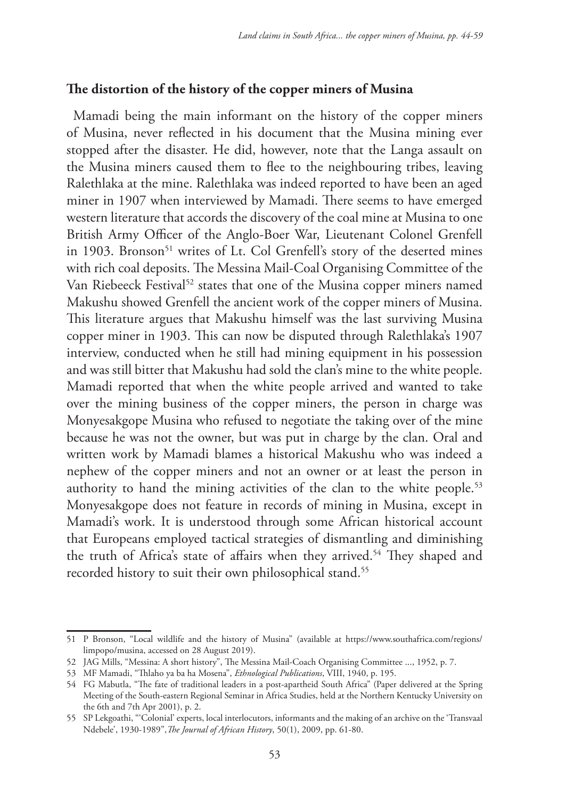## **The distortion of the history of the copper miners of Musina**

Mamadi being the main informant on the history of the copper miners of Musina, never reflected in his document that the Musina mining ever stopped after the disaster. He did, however, note that the Langa assault on the Musina miners caused them to flee to the neighbouring tribes, leaving Ralethlaka at the mine. Ralethlaka was indeed reported to have been an aged miner in 1907 when interviewed by Mamadi. There seems to have emerged western literature that accords the discovery of the coal mine at Musina to one British Army Officer of the Anglo-Boer War, Lieutenant Colonel Grenfell in 1903. Bronson<sup>51</sup> writes of Lt. Col Grenfell's story of the deserted mines with rich coal deposits. The Messina Mail-Coal Organising Committee of the Van Riebeeck Festival<sup>52</sup> states that one of the Musina copper miners named Makushu showed Grenfell the ancient work of the copper miners of Musina. This literature argues that Makushu himself was the last surviving Musina copper miner in 1903. This can now be disputed through Ralethlaka's 1907 interview, conducted when he still had mining equipment in his possession and was still bitter that Makushu had sold the clan's mine to the white people. Mamadi reported that when the white people arrived and wanted to take over the mining business of the copper miners, the person in charge was Monyesakgope Musina who refused to negotiate the taking over of the mine because he was not the owner, but was put in charge by the clan. Oral and written work by Mamadi blames a historical Makushu who was indeed a nephew of the copper miners and not an owner or at least the person in authority to hand the mining activities of the clan to the white people.<sup>53</sup> Monyesakgope does not feature in records of mining in Musina, except in Mamadi's work. It is understood through some African historical account that Europeans employed tactical strategies of dismantling and diminishing the truth of Africa's state of affairs when they arrived.<sup>54</sup> They shaped and recorded history to suit their own philosophical stand.<sup>55</sup>

<sup>51</sup> P Bronson, "Local wildlife and the history of Musina" (available at https://www.southafrica.com/regions/ limpopo/musina, accessed on 28 August 2019).

<sup>52</sup> JAG Mills, "Messina: A short history", The Messina Mail-Coach Organising Committee ..., 1952, p. 7.

<sup>53</sup> MF Mamadi, "Thlaho ya ba ha Mosena", *Ethnological Publications*, VIII, 1940, p. 195.

<sup>54</sup> FG Mabutla, "The fate of traditional leaders in a post-apartheid South Africa" (Paper delivered at the Spring Meeting of the South-eastern Regional Seminar in Africa Studies, held at the Northern Kentucky University on the 6th and 7th Apr 2001), p. 2.

<sup>55</sup> SP Lekgoathi, "'Colonial' experts, local interlocutors, informants and the making of an archive on the 'Transvaal Ndebele', 1930-1989",*The Journal of African History*, 50(1), 2009, pp. 61-80.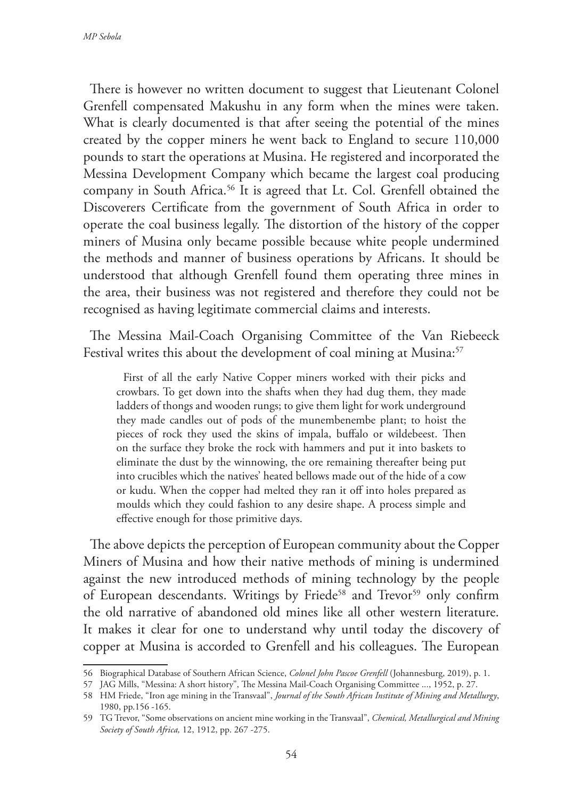There is however no written document to suggest that Lieutenant Colonel Grenfell compensated Makushu in any form when the mines were taken. What is clearly documented is that after seeing the potential of the mines created by the copper miners he went back to England to secure 110,000 pounds to start the operations at Musina. He registered and incorporated the Messina Development Company which became the largest coal producing company in South Africa.<sup>56</sup> It is agreed that Lt. Col. Grenfell obtained the Discoverers Certificate from the government of South Africa in order to operate the coal business legally. The distortion of the history of the copper miners of Musina only became possible because white people undermined the methods and manner of business operations by Africans. It should be understood that although Grenfell found them operating three mines in the area, their business was not registered and therefore they could not be recognised as having legitimate commercial claims and interests.

The Messina Mail-Coach Organising Committee of the Van Riebeeck Festival writes this about the development of coal mining at Musina:<sup>57</sup>

First of all the early Native Copper miners worked with their picks and crowbars. To get down into the shafts when they had dug them, they made ladders of thongs and wooden rungs; to give them light for work underground they made candles out of pods of the munembenembe plant; to hoist the pieces of rock they used the skins of impala, buffalo or wildebeest. Then on the surface they broke the rock with hammers and put it into baskets to eliminate the dust by the winnowing, the ore remaining thereafter being put into crucibles which the natives' heated bellows made out of the hide of a cow or kudu. When the copper had melted they ran it off into holes prepared as moulds which they could fashion to any desire shape. A process simple and effective enough for those primitive days.

The above depicts the perception of European community about the Copper Miners of Musina and how their native methods of mining is undermined against the new introduced methods of mining technology by the people of European descendants. Writings by Friede<sup>58</sup> and Trevor<sup>59</sup> only confirm the old narrative of abandoned old mines like all other western literature. It makes it clear for one to understand why until today the discovery of copper at Musina is accorded to Grenfell and his colleagues. The European

<sup>56</sup> Biographical Database of Southern African Science, *Colonel John Pascoe Grenfell* (Johannesburg, 2019), p. 1.

<sup>57</sup> JAG Mills, "Messina: A short history", The Messina Mail-Coach Organising Committee ..., 1952, p. 27.

<sup>58</sup> HM Friede, "Iron age mining in the Transvaal", *Journal of the South African Institute of Mining and Metallurgy*, 1980, pp.156 -165.

<sup>59</sup> TG Trevor, "Some observations on ancient mine working in the Transvaal", *Chemical, Metallurgical and Mining Society of South Africa,* 12, 1912, pp. 267 -275.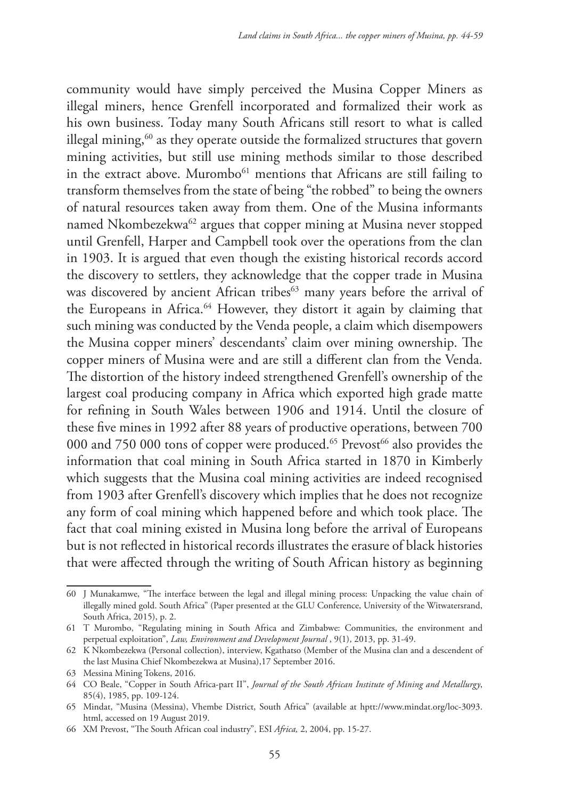community would have simply perceived the Musina Copper Miners as illegal miners, hence Grenfell incorporated and formalized their work as his own business. Today many South Africans still resort to what is called illegal mining,<sup>60</sup> as they operate outside the formalized structures that govern mining activities, but still use mining methods similar to those described in the extract above. Murombo<sup>61</sup> mentions that Africans are still failing to transform themselves from the state of being "the robbed" to being the owners of natural resources taken away from them. One of the Musina informants named Nkombezekwa<sup>62</sup> argues that copper mining at Musina never stopped until Grenfell, Harper and Campbell took over the operations from the clan in 1903. It is argued that even though the existing historical records accord the discovery to settlers, they acknowledge that the copper trade in Musina was discovered by ancient African tribes<sup>63</sup> many years before the arrival of the Europeans in Africa.<sup>64</sup> However, they distort it again by claiming that such mining was conducted by the Venda people, a claim which disempowers the Musina copper miners' descendants' claim over mining ownership. The copper miners of Musina were and are still a different clan from the Venda. The distortion of the history indeed strengthened Grenfell's ownership of the largest coal producing company in Africa which exported high grade matte for refining in South Wales between 1906 and 1914. Until the closure of these five mines in 1992 after 88 years of productive operations, between 700 000 and 750 000 tons of copper were produced.<sup>65</sup> Prevost<sup>66</sup> also provides the information that coal mining in South Africa started in 1870 in Kimberly which suggests that the Musina coal mining activities are indeed recognised from 1903 after Grenfell's discovery which implies that he does not recognize any form of coal mining which happened before and which took place. The fact that coal mining existed in Musina long before the arrival of Europeans but is not reflected in historical records illustrates the erasure of black histories that were affected through the writing of South African history as beginning

<sup>60</sup> J Munakamwe, "The interface between the legal and illegal mining process: Unpacking the value chain of illegally mined gold. South Africa" (Paper presented at the GLU Conference, University of the Witwatersrand, South Africa, 2015), p. 2.

<sup>61</sup> T Murombo, "Regulating mining in South Africa and Zimbabwe: Communities, the environment and perpetual exploitation", *Law, Environment and Development Journal* , 9(1), 2013, pp. 31-49.

<sup>62</sup> K Nkombezekwa (Personal collection), interview, Kgathatso (Member of the Musina clan and a descendent of the last Musina Chief Nkombezekwa at Musina),17 September 2016.

<sup>63</sup> Messina Mining Tokens, 2016.

<sup>64</sup> CO Beale, "Copper in South Africa-part II", *Journal of the South African Institute of Mining and Metallurgy*, 85(4), 1985, pp. 109-124.

<sup>65</sup> Mindat, "Musina (Messina), Vhembe District, South Africa" (available at hptt://www.mindat.org/loc-3093. html, accessed on 19 August 2019.

<sup>66</sup> XM Prevost, "The South African coal industry", ESI *Africa,* 2, 2004, pp. 15-27.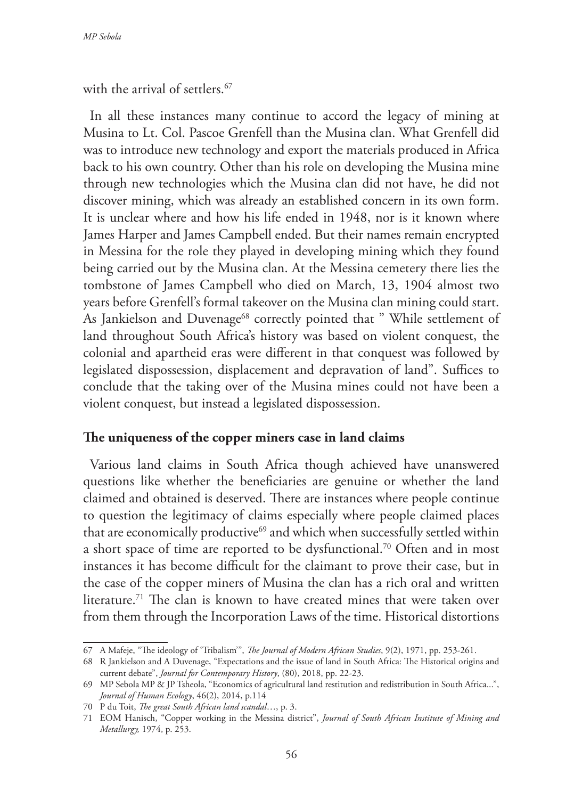with the arrival of settlers.<sup>67</sup>

In all these instances many continue to accord the legacy of mining at Musina to Lt. Col. Pascoe Grenfell than the Musina clan. What Grenfell did was to introduce new technology and export the materials produced in Africa back to his own country. Other than his role on developing the Musina mine through new technologies which the Musina clan did not have, he did not discover mining, which was already an established concern in its own form. It is unclear where and how his life ended in 1948, nor is it known where James Harper and James Campbell ended. But their names remain encrypted in Messina for the role they played in developing mining which they found being carried out by the Musina clan. At the Messina cemetery there lies the tombstone of James Campbell who died on March, 13, 1904 almost two years before Grenfell's formal takeover on the Musina clan mining could start. As Jankielson and Duvenage<sup>68</sup> correctly pointed that " While settlement of land throughout South Africa's history was based on violent conquest, the colonial and apartheid eras were different in that conquest was followed by legislated dispossession, displacement and depravation of land". Suffices to conclude that the taking over of the Musina mines could not have been a violent conquest, but instead a legislated dispossession.

## **The uniqueness of the copper miners case in land claims**

Various land claims in South Africa though achieved have unanswered questions like whether the beneficiaries are genuine or whether the land claimed and obtained is deserved. There are instances where people continue to question the legitimacy of claims especially where people claimed places that are economically productive<sup>69</sup> and which when successfully settled within a short space of time are reported to be dysfunctional.<sup>70</sup> Often and in most instances it has become difficult for the claimant to prove their case, but in the case of the copper miners of Musina the clan has a rich oral and written literature.<sup>71</sup> The clan is known to have created mines that were taken over from them through the Incorporation Laws of the time. Historical distortions

<sup>67</sup> A Mafeje, "The ideology of 'Tribalism'", *The Journal of Modern African Studies*, 9(2), 1971, pp. 253-261.

<sup>68</sup> R Jankielson and A Duvenage, "Expectations and the issue of land in South Africa: The Historical origins and current debate", *Journal for Contemporary History*, (80), 2018, pp. 22-23.

<sup>69</sup> MP Sebola MP & JP Tsheola, "Economics of agricultural land restitution and redistribution in South Africa...", *Journal of Human Ecology*, 46(2), 2014, p.114

<sup>70</sup> P du Toit, *The great South African land scandal*…, p. 3.

<sup>71</sup> EOM Hanisch, "Copper working in the Messina district", *Journal of South African Institute of Mining and Metallurgy,* 1974, p. 253.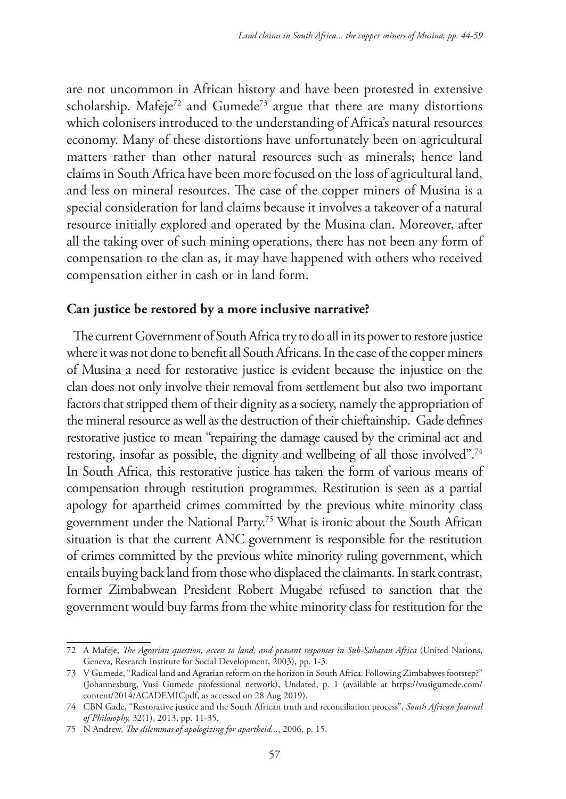are not uncommon in African history and have been protested in extensive scholarship. Mafeje<sup>72</sup> and Gumede<sup>73</sup> argue that there are many distortions which colonisers introduced to the understanding of Africa's natural resources economy. Many of these distortions have unfortunately been on agricultural matters rather than other natural resources such as minerals; hence land claims in South Africa have been more focused on the loss of agricultural land, and less on mineral resources. The case of the copper miners of Musina is a special consideration for land claims because it involves a takeover of a natural resource initially explored and operated by the Musina clan. Moreover, after all the taking over of such mining operations, there has not been any form of compensation to the clan as, it may have happened with others who received compensation either in cash or in land form.

## **Can justice be restored by a more inclusive narrative?**

The current Government of South Africa try to do all in its power to restore justice where it was not done to benefit all South Africans. In the case of the copper miners of Musina a need for restorative justice is evident because the injustice on the clan does not only involve their removal from settlement but also two important factors that stripped them of their dignity as a society, namely the appropriation of the mineral resource as well as the destruction of their chieftainship. Gade defines restorative justice to mean "repairing the damage caused by the criminal act and restoring, insofar as possible, the dignity and wellbeing of all those involved".<sup>74</sup> In South Africa, this restorative justice has taken the form of various means of compensation through restitution programmes. Restitution is seen as a partial apology for apartheid crimes committed by the previous white minority class government under the National Party.75 What is ironic about the South African situation is that the current ANC government is responsible for the restitution of crimes committed by the previous white minority ruling government, which entails buying back land from those who displaced the claimants. In stark contrast, former Zimbabwean President Robert Mugabe refused to sanction that the government would buy farms from the white minority class for restitution for the

<sup>72</sup> A Mafeje, *The Agrarian question, access to land, and peasant responses in Sub-Saharan Africa* (United Nations, Geneva, Research Institute for Social Development, 2003), pp. 1-3.

<sup>73</sup> V Gumede, "Radical land and Agrarian reform on the horizon in South Africa: Following Zimbabwes footstep?" (Johannesburg, Vusi Gumede professional network), Undated, p. 1 (available at https://vusigumede.com/ content/2014/ACADEMICpdf, as accessed on 28 Aug 2019).

<sup>74</sup> CBN Gade, "Restorative justice and the South African truth and reconciliation process", *South African Journal of Philosophy,* 32(1), 2013, pp. 11-35.

<sup>75</sup> N Andrew, *The dilemmas of apologizing for apartheid...*, 2006, p. 15.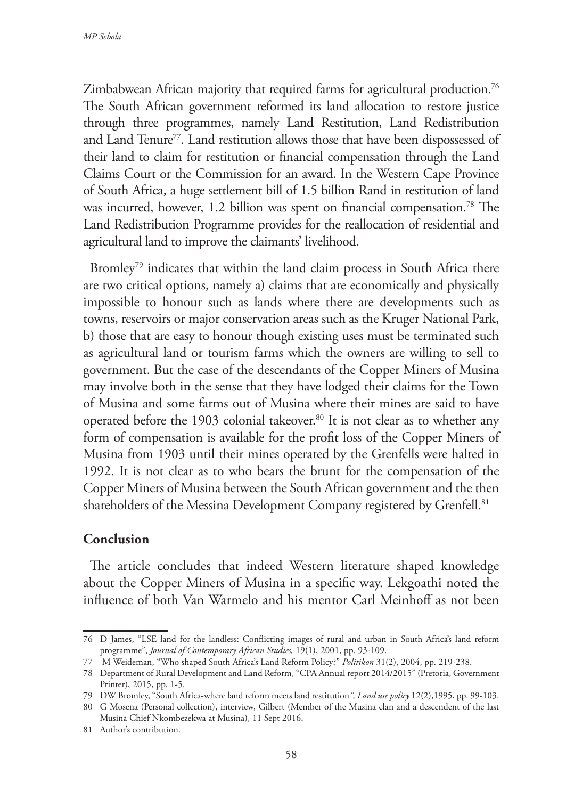Zimbabwean African majority that required farms for agricultural production.<sup>76</sup> The South African government reformed its land allocation to restore justice through three programmes, namely Land Restitution, Land Redistribution and Land Tenure<sup>77</sup>. Land restitution allows those that have been dispossessed of their land to claim for restitution or financial compensation through the Land Claims Court or the Commission for an award. In the Western Cape Province of South Africa, a huge settlement bill of 1.5 billion Rand in restitution of land was incurred, however, 1.2 billion was spent on financial compensation.<sup>78</sup> The Land Redistribution Programme provides for the reallocation of residential and agricultural land to improve the claimants' livelihood.

Bromley<sup>79</sup> indicates that within the land claim process in South Africa there are two critical options, namely a) claims that are economically and physically impossible to honour such as lands where there are developments such as towns, reservoirs or major conservation areas such as the Kruger National Park, b) those that are easy to honour though existing uses must be terminated such as agricultural land or tourism farms which the owners are willing to sell to government. But the case of the descendants of the Copper Miners of Musina may involve both in the sense that they have lodged their claims for the Town of Musina and some farms out of Musina where their mines are said to have operated before the 1903 colonial takeover.<sup>80</sup> It is not clear as to whether any form of compensation is available for the profit loss of the Copper Miners of Musina from 1903 until their mines operated by the Grenfells were halted in 1992. It is not clear as to who bears the brunt for the compensation of the Copper Miners of Musina between the South African government and the then shareholders of the Messina Development Company registered by Grenfell.<sup>81</sup>

## **Conclusion**

The article concludes that indeed Western literature shaped knowledge about the Copper Miners of Musina in a specific way. Lekgoathi noted the influence of both Van Warmelo and his mentor Carl Meinhoff as not been

<sup>76</sup> D James, "LSE land for the landless: Conflicting images of rural and urban in South Africa's land reform programme", *Journal of Contemporary African Studies,* 19(1), 2001, pp. 93-109.

<sup>77</sup> M Weideman, "Who shaped South Africa's Land Reform Policy?" *Politikon* 31(2), 2004, pp. 219-238.

<sup>78</sup> Department of Rural Development and Land Reform, "CPA Annual report 2014/2015" (Pretoria, Government Printer), 2015, pp. 1-5.

<sup>79</sup> DW Bromley, "South Africa-where land reform meets land restitution*", Land use policy* 12(2),1995, pp. 99-103.

<sup>80</sup> G Mosena (Personal collection), interview, Gilbert (Member of the Musina clan and a descendent of the last Musina Chief Nkombezekwa at Musina), 11 Sept 2016.

<sup>81</sup> Author's contribution.